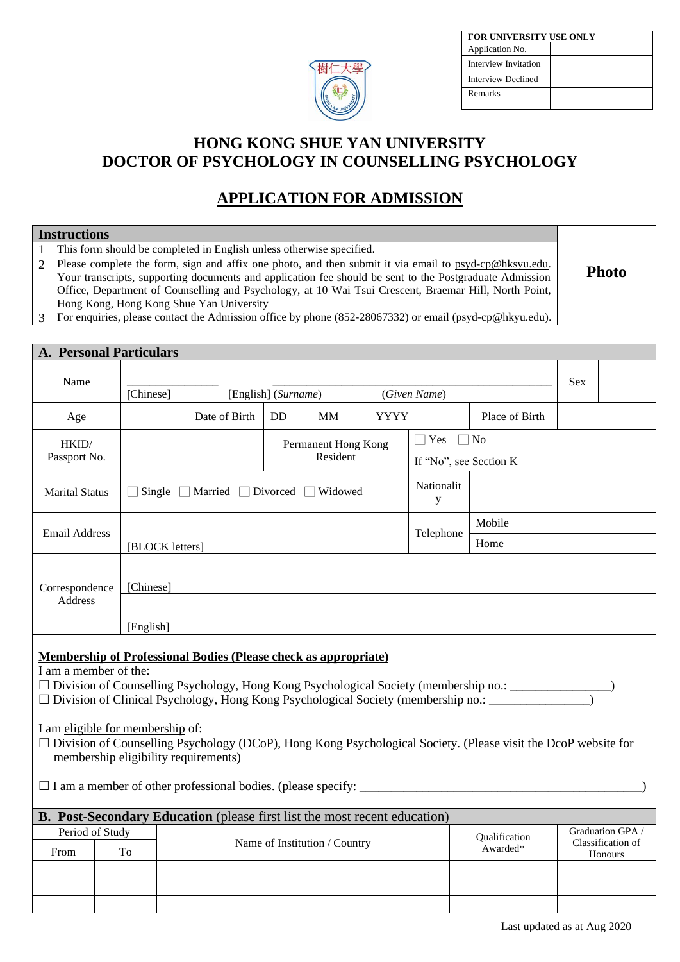

| FOR UNIVERSITY USE ONLY |
|-------------------------|
|                         |
|                         |
|                         |
|                         |
|                         |

# **HONG KONG SHUE YAN UNIVERSITY DOCTOR OF PSYCHOLOGY IN COUNSELLING PSYCHOLOGY**

# **APPLICATION FOR ADMISSION**

| <b>Instructions</b>                                                                                     |              |
|---------------------------------------------------------------------------------------------------------|--------------|
| This form should be completed in English unless otherwise specified.                                    |              |
| Please complete the form, sign and affix one photo, and then submit it via email to psyd-cp@hksyu.edu.  |              |
| Your transcripts, supporting documents and application fee should be sent to the Postgraduate Admission | <b>Photo</b> |
| Office, Department of Counselling and Psychology, at 10 Wai Tsui Crescent, Braemar Hill, North Point,   |              |
| Hong Kong, Hong Kong Shue Yan University                                                                |              |
| For enquiries, please contact the Admission office by phone (852-28067332) or email (psyd-cp@hkyu.edu). |              |
|                                                                                                         |              |

**A. Personal Particulars**

| Name                      | [Chinese]                                                                |                 |                                                                                  | [English] (Surname) |                               |             | (Given Name)           |                                                                                                                                                                                                                              | <b>Sex</b> |                                                  |
|---------------------------|--------------------------------------------------------------------------|-----------------|----------------------------------------------------------------------------------|---------------------|-------------------------------|-------------|------------------------|------------------------------------------------------------------------------------------------------------------------------------------------------------------------------------------------------------------------------|------------|--------------------------------------------------|
| Age                       |                                                                          |                 | Date of Birth                                                                    | DD.                 | <b>MM</b>                     | <b>YYYY</b> |                        | Place of Birth                                                                                                                                                                                                               |            |                                                  |
| HKID/                     |                                                                          |                 |                                                                                  |                     | Permanent Hong Kong           |             | $\Box$ Yes $\Box$ No   |                                                                                                                                                                                                                              |            |                                                  |
| Passport No.              |                                                                          |                 |                                                                                  |                     | Resident                      |             | If "No", see Section K |                                                                                                                                                                                                                              |            |                                                  |
| <b>Marital Status</b>     |                                                                          |                 | Single ■ Married ■ Divorced ■ Widowed                                            |                     |                               |             | Nationalit<br>y        |                                                                                                                                                                                                                              |            |                                                  |
| <b>Email Address</b>      |                                                                          |                 |                                                                                  |                     |                               |             |                        | Mobile                                                                                                                                                                                                                       |            |                                                  |
|                           |                                                                          | [BLOCK letters] |                                                                                  |                     |                               |             | Telephone              | Home                                                                                                                                                                                                                         |            |                                                  |
| Correspondence<br>Address | [Chinese]                                                                |                 |                                                                                  |                     |                               |             |                        |                                                                                                                                                                                                                              |            |                                                  |
|                           | [English]                                                                |                 |                                                                                  |                     |                               |             |                        |                                                                                                                                                                                                                              |            |                                                  |
| I am a member of the:     | I am eligible for membership of:<br>membership eligibility requirements) |                 | <b>Membership of Professional Bodies (Please check as appropriate)</b>           |                     |                               |             |                        | □ Division of Clinical Psychology, Hong Kong Psychological Society (membership no.: _______________<br>$\Box$ Division of Counselling Psychology (DCoP), Hong Kong Psychological Society. (Please visit the DcoP website for |            |                                                  |
|                           |                                                                          |                 | <b>B. Post-Secondary Education</b> (please first list the most recent education) |                     |                               |             |                        |                                                                                                                                                                                                                              |            |                                                  |
| Period of Study<br>From   | To                                                                       |                 |                                                                                  |                     | Name of Institution / Country |             |                        | Qualification<br>Awarded*                                                                                                                                                                                                    |            | Graduation GPA /<br>Classification of<br>Honours |
|                           |                                                                          |                 |                                                                                  |                     |                               |             |                        |                                                                                                                                                                                                                              |            |                                                  |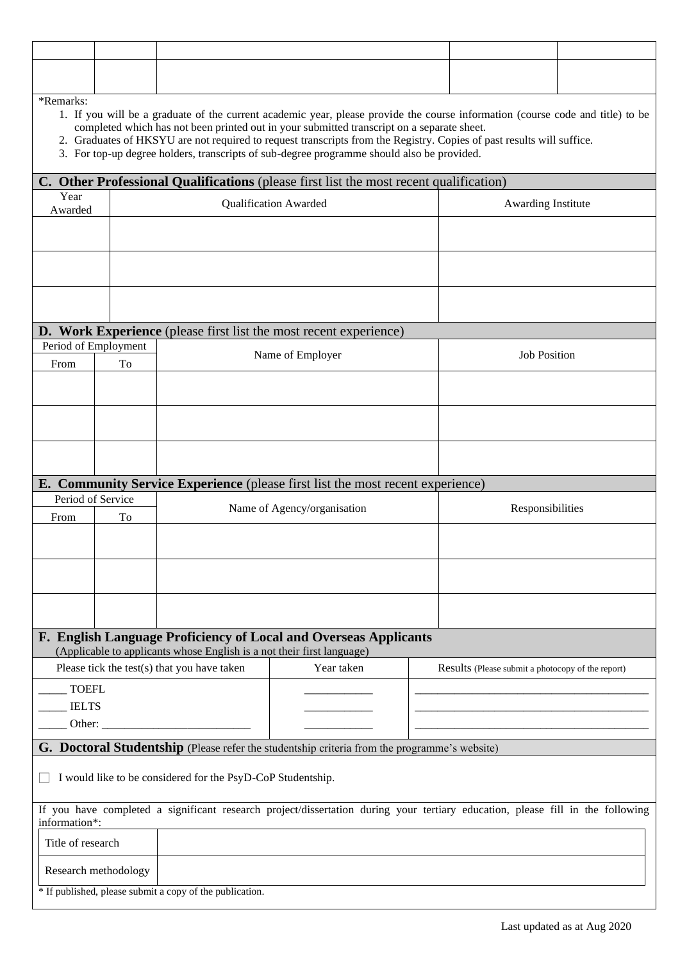| *Remarks:                                                      |                      |                                                                        | 1. If you will be a graduate of the current academic year, please provide the course information (course code and title) to be<br>completed which has not been printed out in your submitted transcript on a separate sheet.<br>2. Graduates of HKSYU are not required to request transcripts from the Registry. Copies of past results will suffice.<br>3. For top-up degree holders, transcripts of sub-degree programme should also be provided. |  |                                                   |  |
|----------------------------------------------------------------|----------------------|------------------------------------------------------------------------|-----------------------------------------------------------------------------------------------------------------------------------------------------------------------------------------------------------------------------------------------------------------------------------------------------------------------------------------------------------------------------------------------------------------------------------------------------|--|---------------------------------------------------|--|
|                                                                |                      |                                                                        | C. Other Professional Qualifications (please first list the most recent qualification)                                                                                                                                                                                                                                                                                                                                                              |  |                                                   |  |
| Year<br>Qualification Awarded<br>Awarding Institute<br>Awarded |                      |                                                                        |                                                                                                                                                                                                                                                                                                                                                                                                                                                     |  |                                                   |  |
|                                                                |                      |                                                                        |                                                                                                                                                                                                                                                                                                                                                                                                                                                     |  |                                                   |  |
|                                                                |                      |                                                                        |                                                                                                                                                                                                                                                                                                                                                                                                                                                     |  |                                                   |  |
|                                                                |                      |                                                                        |                                                                                                                                                                                                                                                                                                                                                                                                                                                     |  |                                                   |  |
|                                                                |                      |                                                                        |                                                                                                                                                                                                                                                                                                                                                                                                                                                     |  |                                                   |  |
|                                                                |                      |                                                                        | D. Work Experience (please first list the most recent experience)                                                                                                                                                                                                                                                                                                                                                                                   |  |                                                   |  |
| Period of Employment<br>From                                   | To                   |                                                                        | Name of Employer                                                                                                                                                                                                                                                                                                                                                                                                                                    |  | <b>Job Position</b>                               |  |
|                                                                |                      |                                                                        |                                                                                                                                                                                                                                                                                                                                                                                                                                                     |  |                                                   |  |
|                                                                |                      |                                                                        |                                                                                                                                                                                                                                                                                                                                                                                                                                                     |  |                                                   |  |
|                                                                |                      |                                                                        |                                                                                                                                                                                                                                                                                                                                                                                                                                                     |  |                                                   |  |
|                                                                |                      |                                                                        |                                                                                                                                                                                                                                                                                                                                                                                                                                                     |  |                                                   |  |
|                                                                |                      |                                                                        |                                                                                                                                                                                                                                                                                                                                                                                                                                                     |  |                                                   |  |
|                                                                |                      |                                                                        | E. Community Service Experience (please first list the most recent experience)                                                                                                                                                                                                                                                                                                                                                                      |  |                                                   |  |
| Period of Service                                              |                      |                                                                        | Name of Agency/organisation                                                                                                                                                                                                                                                                                                                                                                                                                         |  | Responsibilities                                  |  |
| From                                                           | To                   |                                                                        |                                                                                                                                                                                                                                                                                                                                                                                                                                                     |  |                                                   |  |
|                                                                |                      |                                                                        |                                                                                                                                                                                                                                                                                                                                                                                                                                                     |  |                                                   |  |
|                                                                |                      |                                                                        |                                                                                                                                                                                                                                                                                                                                                                                                                                                     |  |                                                   |  |
|                                                                |                      |                                                                        |                                                                                                                                                                                                                                                                                                                                                                                                                                                     |  |                                                   |  |
|                                                                |                      |                                                                        | F. English Language Proficiency of Local and Overseas Applicants                                                                                                                                                                                                                                                                                                                                                                                    |  |                                                   |  |
|                                                                |                      | (Applicable to applicants whose English is a not their first language) |                                                                                                                                                                                                                                                                                                                                                                                                                                                     |  |                                                   |  |
|                                                                |                      | Please tick the test(s) that you have taken                            | Year taken                                                                                                                                                                                                                                                                                                                                                                                                                                          |  | Results (Please submit a photocopy of the report) |  |
| <b>TOEFL</b><br><b>IELTS</b>                                   |                      |                                                                        |                                                                                                                                                                                                                                                                                                                                                                                                                                                     |  |                                                   |  |
| Other:                                                         |                      |                                                                        |                                                                                                                                                                                                                                                                                                                                                                                                                                                     |  |                                                   |  |
|                                                                |                      |                                                                        | G. Doctoral Studentship (Please refer the studentship criteria from the programme's website)                                                                                                                                                                                                                                                                                                                                                        |  |                                                   |  |
|                                                                |                      | I would like to be considered for the PsyD-CoP Studentship.            |                                                                                                                                                                                                                                                                                                                                                                                                                                                     |  |                                                   |  |
| information*:                                                  |                      |                                                                        | If you have completed a significant research project/dissertation during your tertiary education, please fill in the following                                                                                                                                                                                                                                                                                                                      |  |                                                   |  |
| Title of research                                              |                      |                                                                        |                                                                                                                                                                                                                                                                                                                                                                                                                                                     |  |                                                   |  |
|                                                                | Research methodology |                                                                        |                                                                                                                                                                                                                                                                                                                                                                                                                                                     |  |                                                   |  |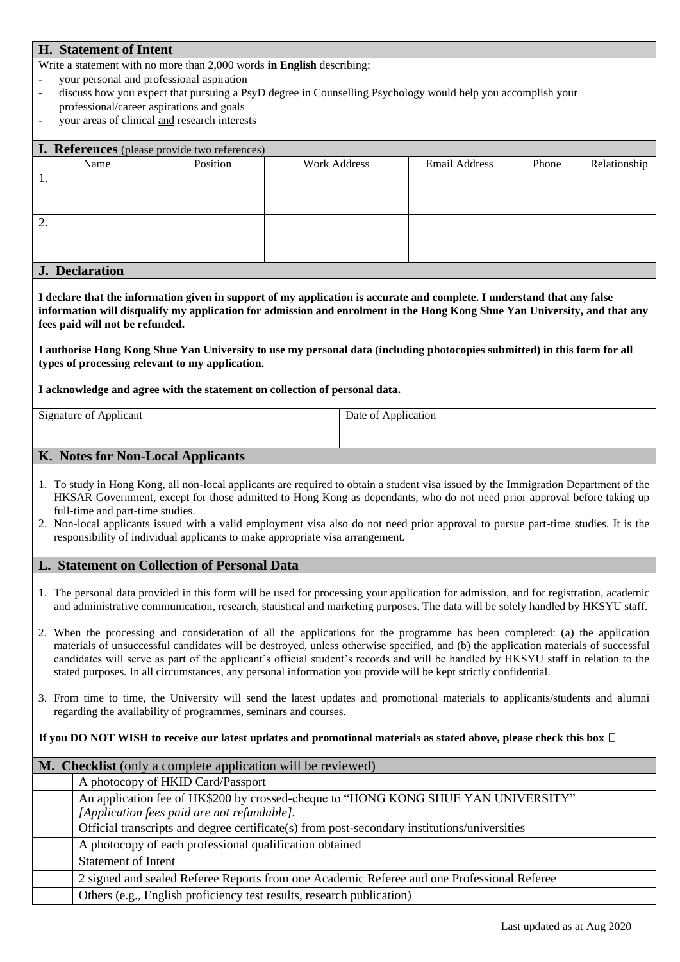### **H. Statement of Intent**

Write a statement with no more than 2,000 words **in English** describing:

- your personal and professional aspiration
- discuss how you expect that pursuing a PsyD degree in Counselling Psychology would help you accomplish your professional/career aspirations and goals
- your areas of clinical and research interests

| I. References (please provide two references) |          |                     |               |       |              |
|-----------------------------------------------|----------|---------------------|---------------|-------|--------------|
| Name                                          | Position | <b>Work Address</b> | Email Address | Phone | Relationship |
| 1.                                            |          |                     |               |       |              |
|                                               |          |                     |               |       |              |
|                                               |          |                     |               |       |              |
| ۷.                                            |          |                     |               |       |              |
|                                               |          |                     |               |       |              |
|                                               |          |                     |               |       |              |
| $\mathbf{r}$ $\mathbf{r}$ $\mathbf{r}$        |          |                     |               |       |              |

#### **J. Declaration**

**I declare that the information given in support of my application is accurate and complete. I understand that any false information will disqualify my application for admission and enrolment in the Hong Kong Shue Yan University, and that any fees paid will not be refunded.** 

**I authorise Hong Kong Shue Yan University to use my personal data (including photocopies submitted) in this form for all types of processing relevant to my application.**

**I acknowledge and agree with the statement on collection of personal data.**

| <b>Signature of Applicant</b> | Date of Application |
|-------------------------------|---------------------|
|                               |                     |
|                               |                     |

### **K. Notes for Non-Local Applicants**

- 1. To study in Hong Kong, all non-local applicants are required to obtain a student visa issued by the Immigration Department of the HKSAR Government, except for those admitted to Hong Kong as dependants, who do not need prior approval before taking up full-time and part-time studies.
- 2. Non-local applicants issued with a valid employment visa also do not need prior approval to pursue part-time studies. It is the responsibility of individual applicants to make appropriate visa arrangement.

### **L. Statement on Collection of Personal Data**

- 1. The personal data provided in this form will be used for processing your application for admission, and for registration, academic and administrative communication, research, statistical and marketing purposes. The data will be solely handled by HKSYU staff.
- 2. When the processing and consideration of all the applications for the programme has been completed: (a) the application materials of unsuccessful candidates will be destroyed, unless otherwise specified, and (b) the application materials of successful candidates will serve as part of the applicant's official student's records and will be handled by HKSYU staff in relation to the stated purposes. In all circumstances, any personal information you provide will be kept strictly confidential.
- 3. From time to time, the University will send the latest updates and promotional materials to applicants/students and alumni regarding the availability of programmes, seminars and courses.

#### **If you DO NOT WISH to receive our latest updates and promotional materials as stated above, please check this box**

|  | <b>M.</b> Checklist (only a complete application will be reviewed)                           |
|--|----------------------------------------------------------------------------------------------|
|  | A photocopy of HKID Card/Passport                                                            |
|  | An application fee of HK\$200 by crossed-cheque to "HONG KONG SHUE YAN UNIVERSITY"           |
|  | [Application fees paid are not refundable].                                                  |
|  | Official transcripts and degree certificate(s) from post-secondary institutions/universities |
|  | A photocopy of each professional qualification obtained                                      |
|  | <b>Statement of Intent</b>                                                                   |
|  | 2 signed and sealed Referee Reports from one Academic Referee and one Professional Referee   |
|  | Others (e.g., English proficiency test results, research publication)                        |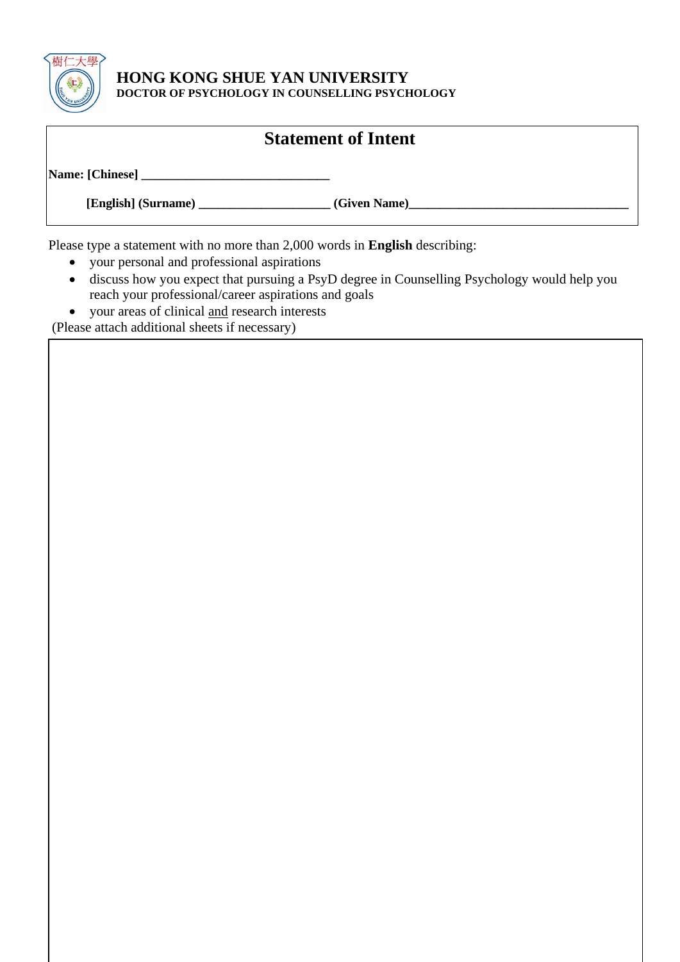

### **HONG KONG SHUE YAN UNIVERSITY DOCTOR OF PSYCHOLOGY IN COUNSELLING PSYCHOLOGY**

# **Statement of Intent**

**Name: [Chinese] \_\_\_\_\_\_\_\_\_\_\_\_\_\_\_\_\_\_\_\_\_\_\_\_\_\_\_\_\_\_**

 **[English] (Surname) \_\_\_\_\_\_\_\_\_\_\_\_\_\_\_\_\_\_\_\_\_ (Given Name)\_\_\_\_\_\_\_\_\_\_\_\_\_\_\_\_\_\_\_\_\_\_\_\_\_\_\_\_\_\_\_\_\_\_\_**

Please type a statement with no more than 2,000 words in **English** describing:

- your personal and professional aspirations
- discuss how you expect that pursuing a PsyD degree in Counselling Psychology would help you reach your professional/career aspirations and goals
- your areas of clinical and research interests

(Please attach additional sheets if necessary)